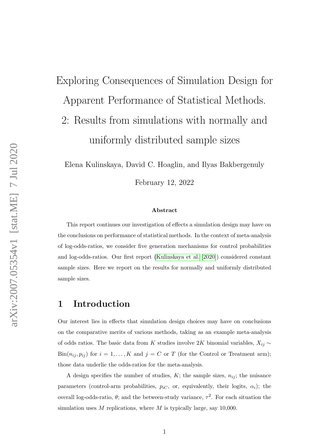# Exploring Consequences of Simulation Design for Apparent Performance of Statistical Methods. 2: Results from simulations with normally and

uniformly distributed sample sizes

Elena Kulinskaya, David C. Hoaglin, and Ilyas Bakbergenuly

February 12, 2022

#### Abstract

This report continues our investigation of effects a simulation design may have on the conclusions on performance of statistical methods. In the context of meta-analysis of log-odds-ratios, we consider five generation mechanisms for control probabilities and log-odds-ratios. Our first report [\(Kulinskaya et al.](#page-5-0) [\[2020\]](#page-5-0)) considered constant sample sizes. Here we report on the results for normally and uniformly distributed sample sizes.

### 1 Introduction

Our interest lies in effects that simulation design choices may have on conclusions on the comparative merits of various methods, taking as an example meta-analysis of odds ratios. The basic data from  $K$  studies involve  $2K$  binomial variables,  $X_{ij} \sim$  $\text{Bin}(n_{ij}, p_{ij})$  for  $i = 1, ..., K$  and  $j = C$  or T (for the Control or Treatment arm); those data underlie the odds-ratios for the meta-analysis.

A design specifies the number of studies,  $K$ ; the sample sizes,  $n_{ij}$ ; the nuisance parameters (control-arm probabilities,  $p_{iC}$ , or, equivalently, their logits,  $\alpha_i$ ); the overall log-odds-ratio,  $\theta$ ; and the between-study variance,  $\tau^2$ . For each situation the simulation uses  $M$  replications, where  $M$  is typically large, say 10,000.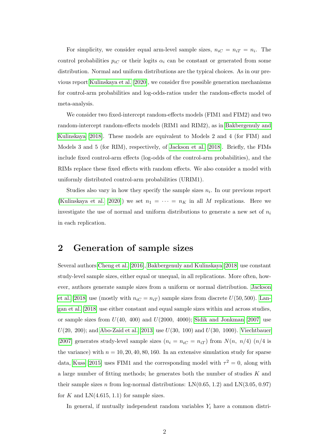For simplicity, we consider equal arm-level sample sizes,  $n_{iC} = n_{iT} = n_i$ . The control probabilities  $p_{iC}$  or their logits  $\alpha_i$  can be constant or generated from some distribution. Normal and uniform distributions are the typical choices. As in our previous report [Kulinskaya et al.](#page-5-0) [\[2020\]](#page-5-0), we consider five possible generation mechanisms for control-arm probabilities and log-odds-ratios under the random-effects model of meta-analysis.

We consider two fixed-intercept random-effects models (FIM1 and FIM2) and two random-intercept random-effects models (RIM1 and RIM2), as in [Bakbergenuly and](#page-5-1) [Kulinskaya](#page-5-1) [\[2018\]](#page-5-1). These models are equivalent to Models 2 and 4 (for FIM) and Models 3 and 5 (for RIM), respectively, of [Jackson et al.](#page-5-2) [\[2018\]](#page-5-2). Briefly, the FIMs include fixed control-arm effects (log-odds of the control-arm probabilities), and the RIMs replace these fixed effects with random effects. We also consider a model with uniformly distributed control-arm probabilities (URIM1).

Studies also vary in how they specify the sample sizes  $n_i$ . In our previous report [\(Kulinskaya et al.](#page-5-0) [\[2020\]](#page-5-0)) we set  $n_1 = \cdots = n_K$  in all M replications. Here we investigate the use of normal and uniform distributions to generate a new set of  $n_i$ in each replication.

### 2 Generation of sample sizes

Several authors [Cheng et al.](#page-5-3) [\[2016\]](#page-5-3), [Bakbergenuly and Kulinskaya](#page-5-1) [\[2018\]](#page-5-1) use constant study-level sample sizes, either equal or unequal, in all replications. More often, however, authors generate sample sizes from a uniform or normal distribution. [Jackson](#page-5-2) [et al.](#page-5-2) [\[2018\]](#page-5-2) use (mostly with  $n_{iC} = n_{iT}$ ) sample sizes from discrete  $U(50, 500)$ . [Lan](#page-6-0)[gan et al.](#page-6-0) [\[2018\]](#page-6-0) use either constant and equal sample sizes within and across studies, or sample sizes from  $U(40, 400)$  and  $U(2000, 4000)$ ; [Sidik and Jonkman](#page-6-1) [\[2007\]](#page-6-1) use  $U(20, 200)$ ; and [Abo-Zaid et al.](#page-5-4) [\[2013\]](#page-5-4) use  $U(30, 100)$  and  $U(30, 1000)$ . [Viechtbauer](#page-6-2) [\[2007\]](#page-6-2) generates study-level sample sizes  $(n_i = n_{iC} = n_{iT})$  from  $N(n, n/4)$   $(n/4)$  is the variance) with  $n = 10, 20, 40, 80, 160$ . In an extensive simulation study for sparse data, [Kuss](#page-5-5) [\[2015\]](#page-5-5) uses FIM1 and the corresponding model with  $\tau^2 = 0$ , along with a large number of fitting methods; he generates both the number of studies K and their sample sizes n from log-normal distributions:  $LN(0.65, 1.2)$  and  $LN(3.05, 0.97)$ for K and  $LN(4.615, 1.1)$  for sample sizes.

In general, if mutually independent random variables  $Y_i$  have a common distri-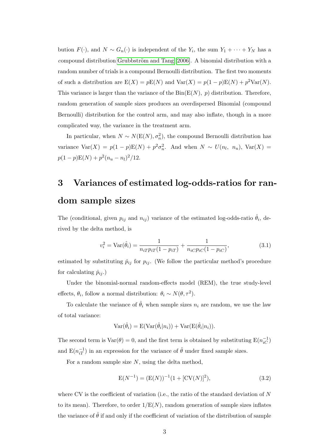bution  $F(\cdot)$ , and  $N \sim G_n(\cdot)$  is independent of the  $Y_i$ , the sum  $Y_1 + \cdots + Y_N$  has a compound distribution Grubbström and Tang [\[2006\]](#page-5-6). A binomial distribution with a random number of trials is a compound Bernoulli distribution. The first two moments of such a distribution are  $E(X) = pE(N)$  and  $Var(X) = p(1-p)E(N) + p^2Var(N)$ . This variance is larger than the variance of the  $Bin(E(N), p)$  distribution. Therefore, random generation of sample sizes produces an overdispersed Binomial (compound Bernoulli) distribution for the control arm, and may also inflate, though in a more complicated way, the variance in the treatment arm.

In particular, when  $N \sim N(E(N), \sigma_n^2)$ , the compound Bernoulli distribution has variance  $Var(X) = p(1-p)E(N) + p^2\sigma_n^2$ . And when  $N \sim U(n_l, n_u)$ ,  $Var(X) =$  $p(1-p)\mathbf{E}(N) + p^2(n_u - n_l)^2/12.$ 

## 3 Variances of estimated log-odds-ratios for random sample sizes

The (conditional, given  $p_{ij}$  and  $n_{ij}$ ) variance of the estimated log-odds-ratio  $\hat{\theta}_i$ , derived by the delta method, is

$$
v_i^2 = \text{Var}(\hat{\theta}_i) = \frac{1}{n_{iT}p_{iT}(1 - p_{iT})} + \frac{1}{n_{iCPi}(1 - p_{iC})},\tag{3.1}
$$

estimated by substituting  $\hat{p}_{ij}$  for  $p_{ij}$ . (We follow the particular method's procedure for calculating  $\hat{p}_{ij}$ .)

Under the binomial-normal random-effects model (REM), the true study-level effects,  $\theta_i$ , follow a normal distribution:  $\theta_i \sim N(\theta, \tau^2)$ .

To calculate the variance of  $\hat{\theta}_i$  when sample sizes  $n_i$  are random, we use the law of total variance:

$$
Var(\hat{\theta}_i) = E(Var(\hat{\theta}_i|n_i)) + Var(E(\hat{\theta}_i|n_i)).
$$

The second term is  $\text{Var}(\theta) = 0$ , and the first term is obtained by substituting  $\text{E}(n_{iC}^{-1})$ and  $E(n_{iT}^{-1})$  in an expression for the variance of  $\hat{\theta}$  under fixed sample sizes.

For a random sample size  $N$ , using the delta method,

<span id="page-2-0"></span>
$$
E(N^{-1}) = (E(N))^{-1} (1 + [CV(N)]^2),
$$
\n(3.2)

where CV is the coefficient of variation (i.e., the ratio of the standard deviation of  $N$ to its mean). Therefore, to order  $1/E(N)$ , random generation of sample sizes inflates the variance of  $\hat{\theta}$  if and only if the coefficient of variation of the distribution of sample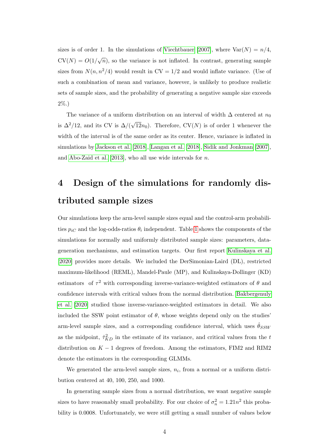sizes is of order 1. In the simulations of [Viechtbauer](#page-6-2) [\[2007\]](#page-6-2), where  $Var(N) = n/4$ ,  $CV(N) = O(1/\sqrt{n})$ , so the variance is not inflated. In contrast, generating sample sizes from  $N(n, n^2/4)$  would result in CV = 1/2 and would inflate variance. (Use of such a combination of mean and variance, however, is unlikely to produce realistic sets of sample sizes, and the probability of generating a negative sample size exceeds 2%.)

The variance of a uniform distribution on an interval of width  $\Delta$  centered at  $n_0$ is  $\Delta^2/12$ , and its CV is  $\Delta/(\sqrt{2})$  $(12n_0)$ . Therefore,  $CV(N)$  is of order 1 whenever the width of the interval is of the same order as its center. Hence, variance is inflated in simulations by [Jackson et al.](#page-5-2) [\[2018\]](#page-5-2), [Langan et al.](#page-6-0) [\[2018\]](#page-6-0), [Sidik and Jonkman](#page-6-1) [\[2007\]](#page-6-1), and [Abo-Zaid et al.](#page-5-4) [\[2013\]](#page-5-4), who all use wide intervals for  $n$ .

### 4 Design of the simulations for randomly distributed sample sizes

Our simulations keep the arm-level sample sizes equal and the control-arm probabilities  $p_{iC}$  and the log-odds-ratios  $\theta_i$  independent. Table [1](#page-7-0) shows the components of the simulations for normally and uniformly distributed sample sizes: parameters, datageneration mechanisms, and estimation targets. Our first report [Kulinskaya et al.](#page-5-0) [\[2020\]](#page-5-0) provides more details. We included the DerSimonian-Laird (DL), restricted maximum-likelihood (REML), Mandel-Paule (MP), and Kulinskaya-Dollinger (KD) estimators of  $\tau^2$  with corresponding inverse-variance-weighted estimators of  $\theta$  and confidence intervals with critical values from the normal distribution. [Bakbergenuly](#page-5-7) [et al.](#page-5-7) [\[2020\]](#page-5-7) studied those inverse-variance-weighted estimators in detail. We also included the SSW point estimator of  $\theta$ , whose weights depend only on the studies' arm-level sample sizes, and a corresponding confidence interval, which uses  $\hat{\theta}_{SSW}$ as the midpoint,  $\hat{\tau}_{KD}^2$  in the estimate of its variance, and critical values from the t distribution on  $K - 1$  degrees of freedom. Among the estimators, FIM2 and RIM2 denote the estimators in the corresponding GLMMs.

We generated the arm-level sample sizes,  $n_i$ , from a normal or a uniform distribution centered at 40, 100, 250, and 1000.

In generating sample sizes from a normal distribution, we want negative sample sizes to have reasonably small probability. For our choice of  $\sigma_n^2 = 1.21n^2$  this probability is 0.0008. Unfortunately, we were still getting a small number of values below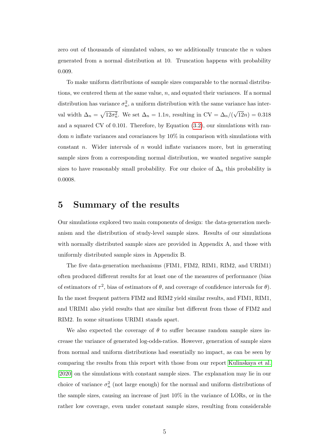zero out of thousands of simulated values, so we additionally truncate the  $n$  values generated from a normal distribution at 10. Truncation happens with probability 0.009.

To make uniform distributions of sample sizes comparable to the normal distributions, we centered them at the same value,  $n$ , and equated their variances. If a normal distribution has variance  $\sigma_n^2$ , a uniform distribution with the same variance has interval width  $\Delta_n = \sqrt{12\sigma_n^2}$ . We set  $\Delta_n = 1.1n$ , resulting in CV =  $\Delta_n/($ √  $(12n) = 0.318$ and a squared CV of 0.101. Therefore, by Equation [\(3.2\)](#page-2-0), our simulations with random  $n$  inflate variances and covariances by  $10\%$  in comparison with simulations with constant n. Wider intervals of n would inflate variances more, but in generating sample sizes from a corresponding normal distribution, we wanted negative sample sizes to have reasonably small probability. For our choice of  $\Delta_n$  this probability is 0.0008.

### 5 Summary of the results

Our simulations explored two main components of design: the data-generation mechanism and the distribution of study-level sample sizes. Results of our simulations with normally distributed sample sizes are provided in Appendix A, and those with uniformly distributed sample sizes in Appendix B.

The five data-generation mechanisms (FIM1, FIM2, RIM1, RIM2, and URIM1) often produced different results for at least one of the measures of performance (bias of estimators of  $\tau^2$ , bias of estimators of  $\theta$ , and coverage of confidence intervals for  $\theta$ ). In the most frequent pattern FIM2 and RIM2 yield similar results, and FIM1, RIM1, and URIM1 also yield results that are similar but different from those of FIM2 and RIM2. In some situations URIM1 stands apart.

We also expected the coverage of  $\theta$  to suffer because random sample sizes increase the variance of generated log-odds-ratios. However, generation of sample sizes from normal and uniform distributions had essentially no impact, as can be seen by comparing the results from this report with those from our report [Kulinskaya et al.](#page-5-0) [\[2020\]](#page-5-0) on the simulations with constant sample sizes. The explanation may lie in our choice of variance  $\sigma_n^2$  (not large enough) for the normal and uniform distributions of the sample sizes, causing an increase of just 10% in the variance of LORs, or in the rather low coverage, even under constant sample sizes, resulting from considerable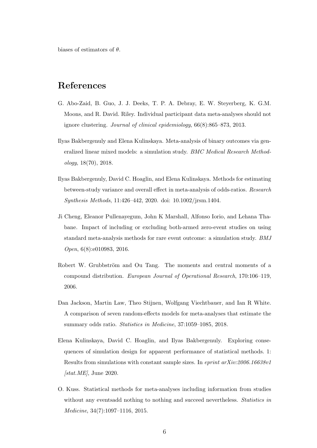biases of estimators of  $\theta$ .

### References

- <span id="page-5-4"></span>G. Abo-Zaid, B. Guo, J. J. Deeks, T. P. A. Debray, E. W. Steyerberg, K. G.M. Moons, and R. David. Riley. Individual participant data meta-analyses should not ignore clustering. Journal of clinical epidemiology, 66(8):865–873, 2013.
- <span id="page-5-1"></span>Ilyas Bakbergenuly and Elena Kulinskaya. Meta-analysis of binary outcomes via generalized linear mixed models: a simulation study. BMC Medical Research Methodology, 18(70), 2018.
- <span id="page-5-7"></span>Ilyas Bakbergenuly, David C. Hoaglin, and Elena Kulinskaya. Methods for estimating between-study variance and overall effect in meta-analysis of odds-ratios. Research Synthesis Methods, 11:426–442, 2020. doi: 10.1002/jrsm.1404.
- <span id="page-5-3"></span>Ji Cheng, Eleanor Pullenayegum, John K Marshall, Alfonso Iorio, and Lehana Thabane. Impact of including or excluding both-armed zero-event studies on using standard meta-analysis methods for rare event outcome: a simulation study. BMJ Open, 6(8):e010983, 2016.
- <span id="page-5-6"></span>Robert W. Grubbström and Ou Tang. The moments and central moments of a compound distribution. European Journal of Operational Research, 170:106–119, 2006.
- <span id="page-5-2"></span>Dan Jackson, Martin Law, Theo Stijnen, Wolfgang Viechtbauer, and Ian R White. A comparison of seven random-effects models for meta-analyses that estimate the summary odds ratio. Statistics in Medicine, 37:1059–1085, 2018.
- <span id="page-5-0"></span>Elena Kulinskaya, David C. Hoaglin, and Ilyas Bakbergenuly. Exploring consequences of simulation design for apparent performance of statistical methods. 1: Results from simulations with constant sample sizes. In eprint arXiv:2006.16638v1  $[stat.ME]$ , June 2020.
- <span id="page-5-5"></span>O. Kuss. Statistical methods for meta-analyses including information from studies without any eventsadd nothing to nothing and succeed nevertheless. *Statistics in* Medicine, 34(7):1097–1116, 2015.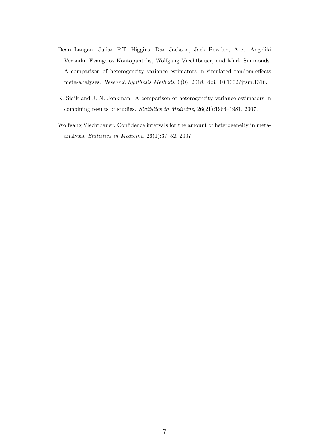- <span id="page-6-0"></span>Dean Langan, Julian P.T. Higgins, Dan Jackson, Jack Bowden, Areti Angeliki Veroniki, Evangelos Kontopantelis, Wolfgang Viechtbauer, and Mark Simmonds. A comparison of heterogeneity variance estimators in simulated random-effects meta-analyses. Research Synthesis Methods, 0(0), 2018. doi: 10.1002/jrsm.1316.
- <span id="page-6-1"></span>K. Sidik and J. N. Jonkman. A comparison of heterogeneity variance estimators in combining results of studies. Statistics in Medicine, 26(21):1964–1981, 2007.
- <span id="page-6-2"></span>Wolfgang Viechtbauer. Confidence intervals for the amount of heterogeneity in metaanalysis. Statistics in Medicine, 26(1):37–52, 2007.